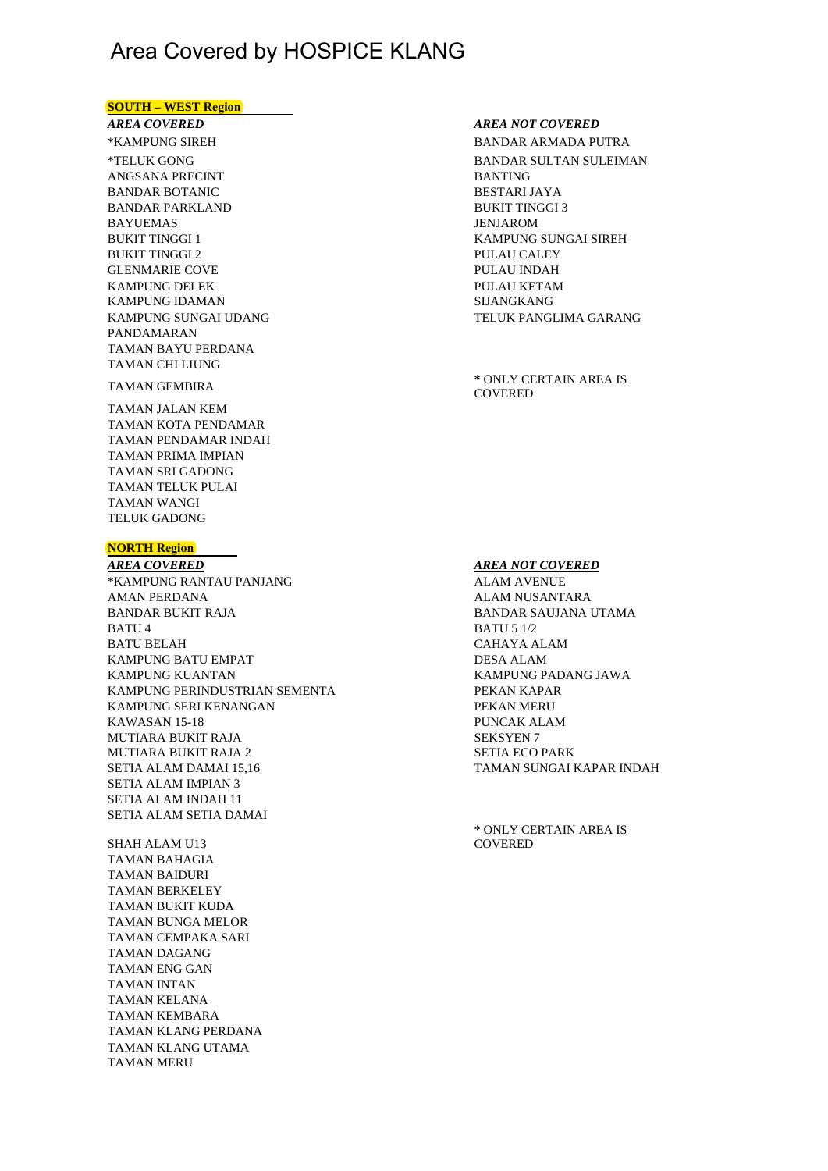# Area Covered by HOSPICE KLANG

### **SOUTH – WEST Region**

## *AREA COVERED*

\*TELUK GONG BANDAR BOTANIC BESTARI JAYA BAYUEMAS JENJAROM BUKIT TINGGI 2 PULAU CALEY GLENMARIE COVE PULAU INDAH KAMPUNG DELEK PULAU KETAM KAMPUNG IDAMAN SIJANGKANG SIJANGKANG SIJANGKANG SIJANGKANG SIJANGKANG SIJANGKANG SIJANGKANG SIJANGKANG SIJANGKANG SIJANGKANG SIJANGKANG SIJANGKANG SIJANGKANG SIJANGKANG SIJANGKANG SIJANGKANG SIJANGKANG SIJANGKANG SIJANGKAN PANDAMARAN TAMAN BAYU PERDANA TAMAN CHI LIUNG BANDAR PARKLAND ANGSANA PRECINT

TAMAN JALAN KEM TAMAN KOTA PENDAMAR TAMAN PENDAMAR INDAH TAMAN PRIMA IMPIAN TAMAN TELUK PULAI TAMAN WANGI TELUK GADONG TAMAN SRI GADONG

#### **NORTH Region**

l,

*AREA COVERED AREA NOT COVERED* \*KAMPUNG RANTAU PANJANG ALAM AVENUE AMAN PERDANA ALAM NUSANTARA BANDAR BUKIT RAJA BANDAR SAUJANA UTAMA BATU 4 BATU 5 1/2 BATU BELAH CAHAYA ALAM KAMPUNG BATU EMPAT DESA ALAM KAMPUNG KUANTAN KAMPUNG PADANG JAWA KAMPUNG PERINDUSTRIAN SEMENTA PEKAN KAPAR KAMPUNG SERI KENANGAN PEKAN MERU KAWASAN 15-18 PUNCAK ALAM MUTIARA BUKIT RAJA SEKSYEN 7 MUTIARA BUKIT RAJA 2 SETIA ECO PARK SETIA ALAM DAMAI 15,16 TAMAN SUNGAI KAPAR INDAH SETIA ALAM IMPIAN 3 SETIA ALAM INDAH 11 SETIA ALAM SETIA DAMAI

SHAH ALAM U13 TAMAN BAHAGIA TAMAN BAIDURI TAMAN BERKELEY TAMAN BUKIT KUDA TAMAN BUNGA MELOR TAMAN CEMPAKA SARI TAMAN DAGANG TAMAN ENG GAN TAMAN INTAN TAMAN KELANA TAMAN KEMBARA TAMAN KLANG PERDANA TAMAN KLANG UTAMA TAMAN MERU

#### *AREA NOT COVERED*

\*KAMPUNG SIREH BANDAR ARMADA PUTRA BANTING BUKIT TINGGI 3 BUKIT TINGGI 1 KAMPUNG SUNGAI SIREH KAMPUNG SUNGAI UDANG TELUK PANGLIMA GARANG BANDAR SULTAN SULEIMAN

TAMAN GEMBIRA \* ONLY CERTAIN AREA IS **COVERED** 

\* ONLY CERTAIN AREA IS **COVERED**